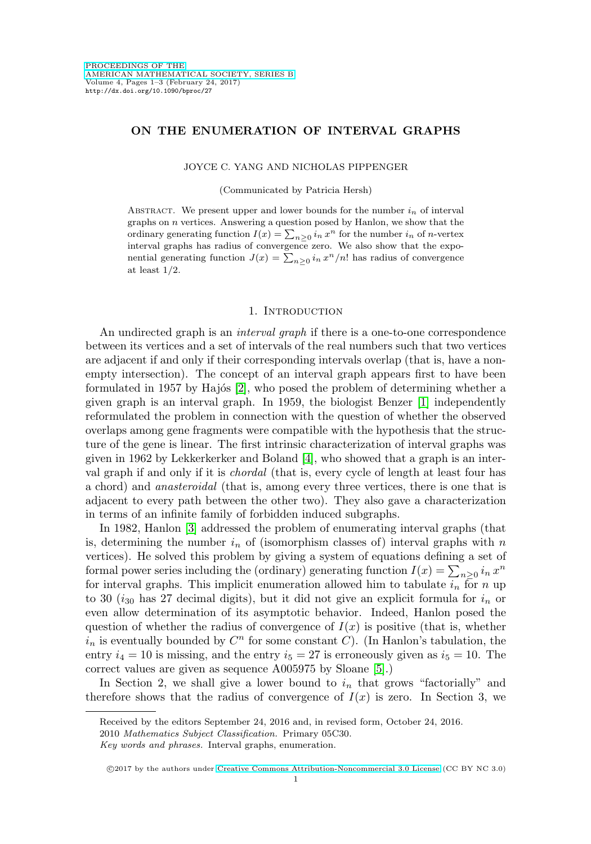# **ON THE ENUMERATION OF INTERVAL GRAPHS**

JOYCE C. YANG AND NICHOLAS PIPPENGER

(Communicated by Patricia Hersh)

ABSTRACT. We present upper and lower bounds for the number  $i_n$  of interval graphs on  $n$  vertices. Answering a question posed by Hanlon, we show that the ordinary generating function  $I(x) = \sum_{n\geq 0} i_n x^n$  for the number  $i_n$  of n-vertex interval graphs has radius of convergence zero. We also show that the exponential generating function  $J(x) = \sum_{n\geq 0} i_n x^n/n!$  has radius of convergence at least  $1/2$ .

### 1. INTRODUCTION

An undirected graph is an *interval graph* if there is a one-to-one correspondence between its vertices and a set of intervals of the real numbers such that two vertices are adjacent if and only if their corresponding intervals overlap (that is, have a nonempty intersection). The concept of an interval graph appears first to have been formulated in 1957 by Hajós  $[2]$ , who posed the problem of determining whether a given graph is an interval graph. In 1959, the biologist Benzer [\[1\]](#page-2-1) independently reformulated the problem in connection with the question of whether the observed overlaps among gene fragments were compatible with the hypothesis that the structure of the gene is linear. The first intrinsic characterization of interval graphs was given in 1962 by Lekkerkerker and Boland [\[4\]](#page-2-2), who showed that a graph is an interval graph if and only if it is chordal (that is, every cycle of length at least four has a chord) and anasteroidal (that is, among every three vertices, there is one that is adjacent to every path between the other two). They also gave a characterization in terms of an infinite family of forbidden induced subgraphs.

In 1982, Hanlon [\[3\]](#page-2-3) addressed the problem of enumerating interval graphs (that is, determining the number  $i_n$  of (isomorphism classes of) interval graphs with n vertices). He solved this problem by giving a system of equations defining a set of formal power series including the (ordinary) generating function  $I(x) = \sum_{n \geq 0} i_n x^n$ for interval graphs. This implicit enumeration allowed him to tabulate  $i_n$  for n up to 30 ( $i_{30}$  has 27 decimal digits), but it did not give an explicit formula for  $i_n$  or even allow determination of its asymptotic behavior. Indeed, Hanlon posed the question of whether the radius of convergence of  $I(x)$  is positive (that is, whether  $i_n$  is eventually bounded by  $C^n$  for some constant C). (In Hanlon's tabulation, the entry  $i_4 = 10$  is missing, and the entry  $i_5 = 27$  is erroneously given as  $i_5 = 10$ . The correct values are given as sequence A005975 by Sloane [\[5\]](#page-2-4).)

In Section 2, we shall give a lower bound to  $i_n$  that grows "factorially" and therefore shows that the radius of convergence of  $I(x)$  is zero. In Section 3, we

Received by the editors September 24, 2016 and, in revised form, October 24, 2016.

<sup>2010</sup> Mathematics Subject Classification. Primary 05C30.

Key words and phrases. Interval graphs, enumeration.

c 2017 by the authors under [Creative Commons Attribution-Noncommercial 3.0 License](http://creativecommons.org/licenses/by-nc/3.0/) (CC BY NC 3.0)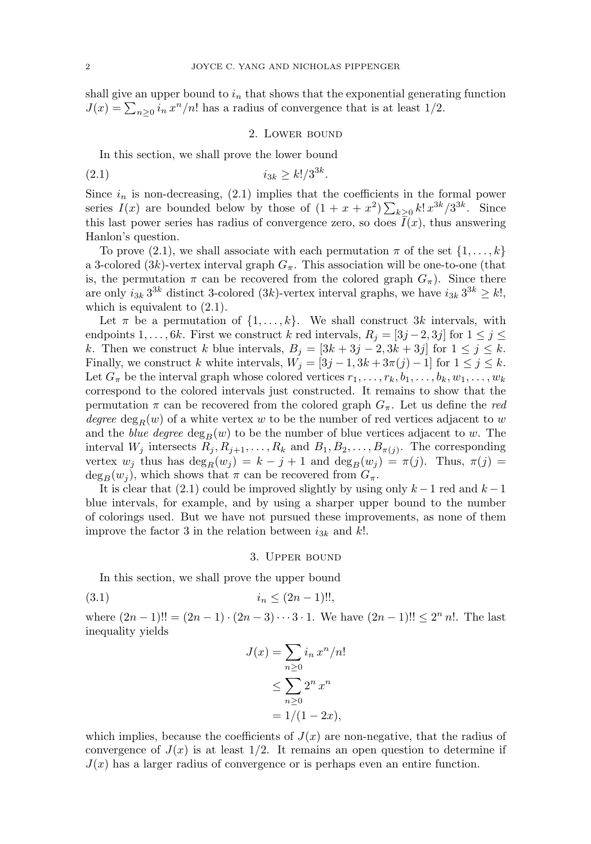shall give an upper bound to  $i_n$  that shows that the exponential generating function  $J(x) = \sum_{n\geq 0} i_n x^n/n!$  has a radius of convergence that is at least 1/2.

#### 2. Lower bound

In this section, we shall prove the lower bound

(2.1) 
$$
i_{3k} \ge k!/3^{3k}.
$$

Since  $i_n$  is non-decreasing, (2.1) implies that the coefficients in the formal power series  $I(x)$  are bounded below by those of  $(1 + x + x^2) \sum_{k \geq 0} k! x^{3k} / 3^{3k}$ . Since this last power series has radius of convergence zero, so does  $I(x)$ , thus answering Hanlon's question.

To prove (2.1), we shall associate with each permutation  $\pi$  of the set  $\{1,\ldots,k\}$ a 3-colored (3k)-vertex interval graph  $G_{\pi}$ . This association will be one-to-one (that is, the permutation  $\pi$  can be recovered from the colored graph  $G_{\pi}$ ). Since there are only  $i_{3k} 3^{3k}$  distinct 3-colored (3k)-vertex interval graphs, we have  $i_{3k} 3^{3k} \geq k!$ , which is equivalent to  $(2.1)$ .

Let  $\pi$  be a permutation of  $\{1,\ldots,k\}$ . We shall construct 3k intervals, with endpoints  $1,\ldots, 6k$ . First we construct k red intervals,  $R_j = [3j-2,3j]$  for  $1 \leq j \leq k$ k. Then we construct k blue intervals,  $B_j = [3k + 3j - 2, 3k + 3j]$  for  $1 \le j \le k$ . Finally, we construct k white intervals,  $W_j = [3j-1, 3k+3\pi(j)-1]$  for  $1 \leq j \leq k$ . Let  $G_{\pi}$  be the interval graph whose colored vertices  $r_1,\ldots,r_k, b_1,\ldots,b_k, w_1,\ldots,w_k$ correspond to the colored intervals just constructed. It remains to show that the permutation  $\pi$  can be recovered from the colored graph  $G_{\pi}$ . Let us define the red degree  $\deg_R(w)$  of a white vertex w to be the number of red vertices adjacent to w and the *blue degree*  $\deg_B(w)$  to be the number of blue vertices adjacent to w. The interval  $W_j$  intersects  $R_j, R_{j+1},\ldots,R_k$  and  $B_1, B_2,\ldots,B_{\pi(j)}$ . The corresponding vertex  $w_j$  thus has  $\deg_R(w_j) = k - j + 1$  and  $\deg_B(w_j) = \pi(j)$ . Thus,  $\pi(j) =$  $deg_B(w_j)$ , which shows that  $\pi$  can be recovered from  $G_{\pi}$ .

It is clear that (2.1) could be improved slightly by using only  $k-1$  red and  $k-1$ blue intervals, for example, and by using a sharper upper bound to the number of colorings used. But we have not pursued these improvements, as none of them improve the factor 3 in the relation between  $i_{3k}$  and k!.

#### 3. Upper bound

In this section, we shall prove the upper bound

$$
(3.1) \t\t\t i_n \le (2n-1)!!
$$

where  $(2n-1)!! = (2n-1) \cdot (2n-3) \cdot \cdot \cdot 3 \cdot 1$ . We have  $(2n-1)!! \leq 2^n n!$ . The last inequality yields

$$
J(x) = \sum_{n\geq 0} i_n x^n/n!
$$
  
\n
$$
\leq \sum_{n\geq 0} 2^n x^n
$$
  
\n
$$
= 1/(1 - 2x),
$$

which implies, because the coefficients of  $J(x)$  are non-negative, that the radius of convergence of  $J(x)$  is at least  $1/2$ . It remains an open question to determine if  $J(x)$  has a larger radius of convergence or is perhaps even an entire function.